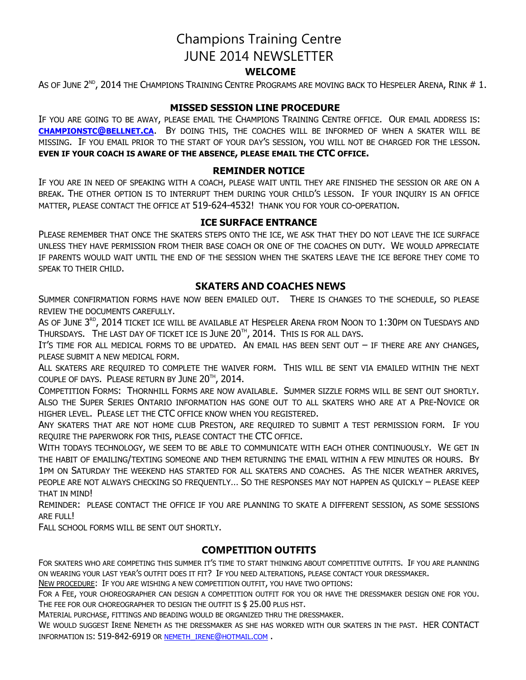# Champions Training Centre JUNE 2014 NEWSLETTER

# **WELCOME**

As of June 2 $^{\text{\tiny{ND}}}$ , 2014 the Champions Training Centre Programs are moving back to Hespeler Arena, Rink # 1.

#### **MISSED SESSION LINE PROCEDURE**

IF YOU ARE GOING TO BE AWAY, PLEASE EMAIL THE CHAMPIONS TRAINING CENTRE OFFICE. OUR EMAIL ADDRESS IS: **CHAMPIONSTC@BELLNET.CA**. BY DOING THIS, THE COACHES WILL BE INFORMED OF WHEN A SKATER WILL BE MISSING. IF YOU EMAIL PRIOR TO THE START OF YOUR DAY'S SESSION, YOU WILL NOT BE CHARGED FOR THE LESSON. **EVEN IF YOUR COACH IS AWARE OF THE ABSENCE, PLEASE EMAIL THE CTC OFFICE.**

#### **REMINDER NOTICE**

IF YOU ARE IN NEED OF SPEAKING WITH A COACH, PLEASE WAIT UNTIL THEY ARE FINISHED THE SESSION OR ARE ON A BREAK. THE OTHER OPTION IS TO INTERRUPT THEM DURING YOUR CHILD'S LESSON. IF YOUR INQUIRY IS AN OFFICE MATTER, PLEASE CONTACT THE OFFICE AT 519-624-4532! THANK YOU FOR YOUR CO-OPERATION.

#### **ICE SURFACE ENTRANCE**

PLEASE REMEMBER THAT ONCE THE SKATERS STEPS ONTO THE ICE, WE ASK THAT THEY DO NOT LEAVE THE ICE SURFACE UNLESS THEY HAVE PERMISSION FROM THEIR BASE COACH OR ONE OF THE COACHES ON DUTY. WE WOULD APPRECIATE IF PARENTS WOULD WAIT UNTIL THE END OF THE SESSION WHEN THE SKATERS LEAVE THE ICE BEFORE THEY COME TO SPEAK TO THEIR CHILD.

#### **SKATERS AND COACHES NEWS**

SUMMER CONFIRMATION FORMS HAVE NOW BEEN EMAILED OUT. THERE IS CHANGES TO THE SCHEDULE, SO PLEASE REVIEW THE DOCUMENTS CAREFULLY.

As of June 3 $^{\text{\tiny{RD}}}$ , 2014 ticket ice will be available at Hespeler Arena from Noon to 1:30pm on Tuesdays and Thursdays. The last day of ticket ice is June  $20^{\text{th}}$ , 2014. This is for all days.

IT'S TIME FOR ALL MEDICAL FORMS TO BE UPDATED. AN EMAIL HAS BEEN SENT OUT – IF THERE ARE ANY CHANGES, PLEASE SUBMIT A NEW MEDICAL FORM.

ALL SKATERS ARE REQUIRED TO COMPLETE THE WAIVER FORM. THIS WILL BE SENT VIA EMAILED WITHIN THE NEXT COUPLE OF DAYS. PLEASE RETURN BY JUNE  $20^{\text{th}}$ , 2014.

COMPETITION FORMS: THORNHILL FORMS ARE NOW AVAILABLE. SUMMER SIZZLE FORMS WILL BE SENT OUT SHORTLY. ALSO THE SUPER SERIES ONTARIO INFORMATION HAS GONE OUT TO ALL SKATERS WHO ARE AT A PRE-NOVICE OR HIGHER LEVEL. PLEASE LET THE CTC OFFICE KNOW WHEN YOU REGISTERED.

ANY SKATERS THAT ARE NOT HOME CLUB PRESTON, ARE REQUIRED TO SUBMIT A TEST PERMISSION FORM. IF YOU REQUIRE THE PAPERWORK FOR THIS, PLEASE CONTACT THE CTC OFFICE.

WITH TODAYS TECHNOLOGY, WE SEEM TO BE ABLE TO COMMUNICATE WITH EACH OTHER CONTINUOUSLY. WE GET IN THE HABIT OF EMAILING/TEXTING SOMEONE AND THEM RETURNING THE EMAIL WITHIN A FEW MINUTES OR HOURS. BY 1PM ON SATURDAY THE WEEKEND HAS STARTED FOR ALL SKATERS AND COACHES. AS THE NICER WEATHER ARRIVES, PEOPLE ARE NOT ALWAYS CHECKING SO FREQUENTLY… SO THE RESPONSES MAY NOT HAPPEN AS QUICKLY – PLEASE KEEP THAT IN MIND!

REMINDER: PLEASE CONTACT THE OFFICE IF YOU ARE PLANNING TO SKATE A DIFFERENT SESSION, AS SOME SESSIONS ARE FULL!

FALL SCHOOL FORMS WILL BE SENT OUT SHORTLY.

## **COMPETITION OUTFITS**

FOR SKATERS WHO ARE COMPETING THIS SUMMER IT'S TIME TO START THINKING ABOUT COMPETITIVE OUTFITS. IF YOU ARE PLANNING ON WEARING YOUR LAST YEAR'S OUTFIT DOES IT FIT? IF YOU NEED ALTERATIONS, PLEASE CONTACT YOUR DRESSMAKER.

NEW PROCEDURE: IF YOU ARE WISHING A NEW COMPETITION OUTFIT, YOU HAVE TWO OPTIONS:

FOR A FEE, YOUR CHOREOGRAPHER CAN DESIGN A COMPETITION OUTFIT FOR YOU OR HAVE THE DRESSMAKER DESIGN ONE FOR YOU. THE FEE FOR OUR CHOREOGRAPHER TO DESIGN THE OUTFIT IS \$ 25.00 PLUS HST.

MATERIAL PURCHASE, FITTINGS AND BEADING WOULD BE ORGANIZED THRU THE DRESSMAKER.

WE WOULD SUGGEST IRENE NEMETH AS THE DRESSMAKER AS SHE HAS WORKED WITH OUR SKATERS IN THE PAST. HER CONTACT INFORMATION IS: 519-842-6919 OR NEMETH\_IRENE@HOTMAIL.COM .